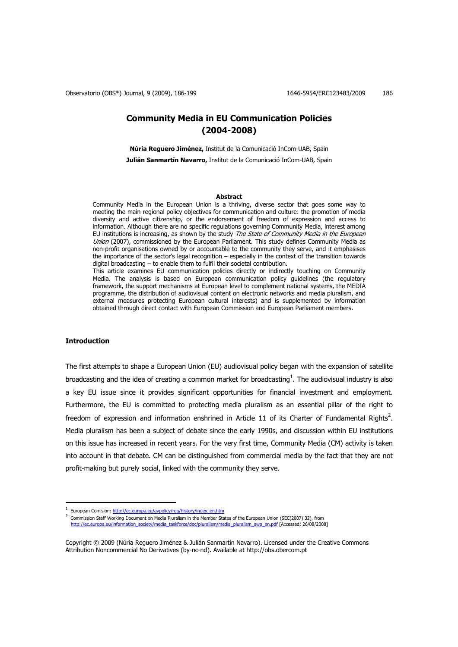# **Community Media in EU Communication Policies (2004-2008)**

**Núria Reguero Jiménez,** Institut de la Comunicació InCom-UAB, Spain **Julián Sanmartín Navarro,** Institut de la Comunicació InCom-UAB, Spain

#### **Abstract**

Community Media in the European Union is a thriving, diverse sector that goes some way to meeting the main regional policy objectives for communication and culture: the promotion of media diversity and active citizenship, or the endorsement of freedom of expression and access to information. Although there are no specific regulations governing Community Media, interest among EU institutions is increasing, as shown by the study The State of Community Media in the European Union (2007), commissioned by the European Parliament. This study defines Community Media as non-profit organisations owned by or accountable to the community they serve, and it emphasises the importance of the sector's legal recognition – especially in the context of the transition towards digital broadcasting – to enable them to fulfil their societal contribution.

This article examines EU communication policies directly or indirectly touching on Community Media. The analysis is based on European communication policy guidelines (the regulatory framework, the support mechanisms at European level to complement national systems, the MEDIA programme, the distribution of audiovisual content on electronic networks and media pluralism, and external measures protecting European cultural interests) and is supplemented by information obtained through direct contact with European Commission and European Parliament members.

# **Introduction**

 $\overline{a}$ 

The first attempts to shape a European Union (EU) audiovisual policy began with the expansion of satellite broadcasting and the idea of creating a common market for broadcasting<sup>1</sup>. The audiovisual industry is also a key EU issue since it provides significant opportunities for financial investment and employment. Furthermore, the EU is committed to protecting media pluralism as an essential pillar of the right to freedom of expression and information enshrined in Article 11 of its Charter of Fundamental Rights<sup>2</sup>. Media pluralism has been a subject of debate since the early 1990s, and discussion within EU institutions on this issue has increased in recent years. For the very first time, Community Media (CM) activity is taken into account in that debate. CM can be distinguished from commercial media by the fact that they are not profit-making but purely social, linked with the community they serve.

2 Commission Staff Working Document on Media Pluralism in the Member States of the European Union (SEC(2007) 32), from http://ec.europa.eu/information\_society/media\_taskforce/doc/pluralism/media\_pluralism\_swp\_en.pdf [Accessed: 26/08/2008]

<sup>&</sup>lt;sup>1</sup> European Comisión: http://ec.europa.eu/avpolicy/reg/history/index\_en.htm

Copyright © 2009 (Núria Reguero Jiménez & Julián Sanmartín Navarro). Licensed under the Creative Commons Attribution Noncommercial No Derivatives (by-nc-nd). Available at http://obs.obercom.pt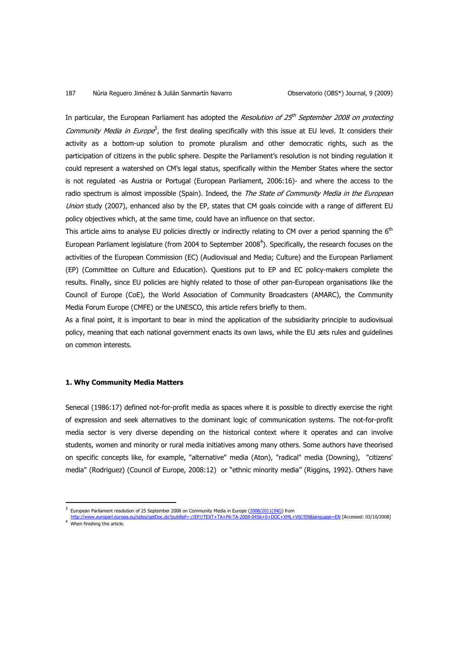In particular, the European Parliament has adopted the *Resolution of 25<sup>th</sup> September 2008 on protecting* Community Media in Europe<sup>3</sup>, the first dealing specifically with this issue at EU level. It considers their activity as a bottom-up solution to promote pluralism and other democratic rights, such as the participation of citizens in the public sphere. Despite the Parliament's resolution is not binding regulation it could represent a watershed on CM's legal status, specifically within the Member States where the sector is not regulated -as Austria or Portugal (European Parliament, 2006:16)- and where the access to the radio spectrum is almost impossible (Spain). Indeed, the The State of Community Media in the European Union study (2007), enhanced also by the EP, states that CM goals coincide with a range of different EU policy objectives which, at the same time, could have an influence on that sector.

This article aims to analyse EU policies directly or indirectly relating to CM over a period spanning the 6<sup>th</sup> European Parliament legislature (from 2004 to September 2008<sup>4</sup>). Specifically, the research focuses on the activities of the European Commission (EC) (Audiovisual and Media; Culture) and the European Parliament (EP) (Committee on Culture and Education). Questions put to EP and EC policy-makers complete the results. Finally, since EU policies are highly related to those of other pan-European organisations like the Council of Europe (CoE), the World Association of Community Broadcasters (AMARC), the Community Media Forum Europe (CMFE) or the UNESCO, this article refers briefly to them.

As a final point, it is important to bear in mind the application of the subsidiarity principle to audiovisual policy, meaning that each national government enacts its own laws, while the EU sets rules and guidelines on common interests.

# **1. Why Community Media Matters**

 $\overline{a}$ 

Senecal (1986:17) defined not-for-profit media as spaces where it is possible to directly exercise the right of expression and seek alternatives to the dominant logic of communication systems. The not-for-profit media sector is very diverse depending on the historical context where it operates and can involve students, women and minority or rural media initiatives among many others. Some authors have theorised on specific concepts like, for example, "alternative" media (Aton), "radical" media (Downing), "citizens' media" (Rodriguez) (Council of Europe, 2008:12) or "ethnic minority media" (Riggins, 1992). Others have

<sup>3</sup>

European Parliament resolution of 25 September 2008 on Community Media in Europe (2008/2011(INI)) from<br>http://www.europarl.europa.eu/sides/getDoc.do?pubRef=-//EP//TEXT+TA+P6-TA-2008-0456+0+DOC+XML+V0//EN&language=EN [Acces <sup>4</sup> When finishing this article.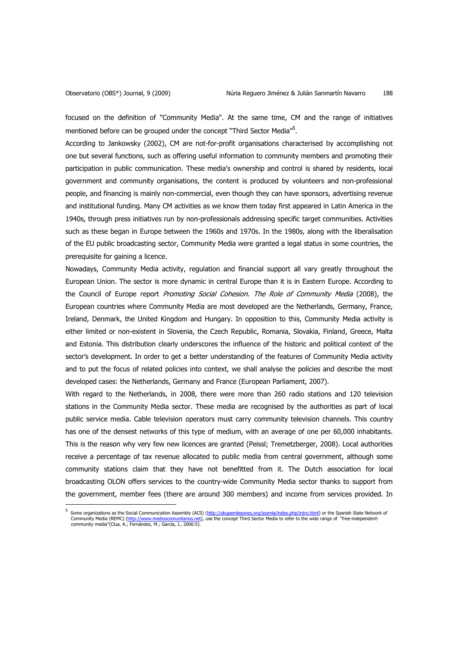focused on the definition of "Community Media". At the same time, CM and the range of initiatives mentioned before can be grouped under the concept "Third Sector Media"<sup>5</sup>.

According to Jankowsky (2002), CM are not-for-profit organisations characterised by accomplishing not one but several functions, such as offering useful information to community members and promoting their participation in public communication. These media's ownership and control is shared by residents, local government and community organisations, the content is produced by volunteers and non-professional people, and financing is mainly non-commercial, even though they can have sponsors, advertising revenue and institutional funding. Many CM activities as we know them today first appeared in Latin America in the 1940s, through press initiatives run by non-professionals addressing specific target communities. Activities such as these began in Europe between the 1960s and 1970s. In the 1980s, along with the liberalisation of the EU public broadcasting sector, Community Media were granted a legal status in some countries, the prerequisite for gaining a licence.

Nowadays, Community Media activity, regulation and financial support all vary greatly throughout the European Union. The sector is more dynamic in central Europe than it is in Eastern Europe. According to the Council of Europe report Promoting Social Cohesion. The Role of Community Media (2008), the European countries where Community Media are most developed are the Netherlands, Germany, France, Ireland, Denmark, the United Kingdom and Hungary. In opposition to this, Community Media activity is either limited or non-existent in Slovenia, the Czech Republic, Romania, Slovakia, Finland, Greece, Malta and Estonia. This distribution clearly underscores the influence of the historic and political context of the sector's development. In order to get a better understanding of the features of Community Media activity and to put the focus of related policies into context, we shall analyse the policies and describe the most developed cases: the Netherlands, Germany and France (European Parliament, 2007).

With regard to the Netherlands, in 2008, there were more than 260 radio stations and 120 television stations in the Community Media sector. These media are recognised by the authorities as part of local public service media. Cable television operators must carry community television channels. This country has one of the densest networks of this type of medium, with an average of one per 60,000 inhabitants. This is the reason why very few new licences are granted (Peissl; Tremetzberger, 2008). Local authorities receive a percentage of tax revenue allocated to public media from central government, although some community stations claim that they have not benefitted from it. The Dutch association for local broadcasting OLON offers services to the country-wide Community Media sector thanks to support from the government, member fees (there are around 300 members) and income from services provided. In l

<sup>5</sup> Some organizations as the Social Communication Assembly (ACS) (http://okupemlesones.org/joomla/index.php/intro.html) or the Spanish State Network of Community Media (REMC) (<u>http://www.medioscomunitarios.net</u>), use the concept Third Sector Media to refer to the wide range of "free-independent-<br>community media"(Clua, A.; Fernández, M.; García, J., 2006:5).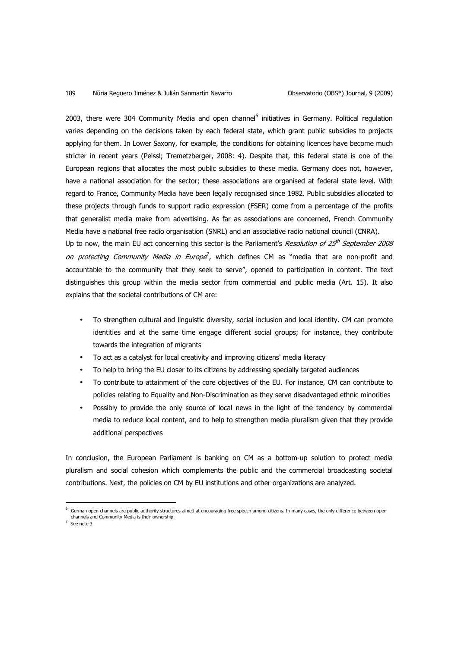#### 189 Núria Reguero Jiménez & Julián Sanmartín Navarro Observatorio (OBS\*) Journal, 9 (2009)

explains that the societal contributions of CM are:

2003, there were 304 Community Media and open channel<sup>6</sup> initiatives in Germany. Political regulation varies depending on the decisions taken by each federal state, which grant public subsidies to projects applying for them. In Lower Saxony, for example, the conditions for obtaining licences have become much stricter in recent years (Peissl; Tremetzberger, 2008: 4). Despite that, this federal state is one of the European regions that allocates the most public subsidies to these media. Germany does not, however, have a national association for the sector; these associations are organised at federal state level. With regard to France, Community Media have been legally recognised since 1982. Public subsidies allocated to these projects through funds to support radio expression (FSER) come from a percentage of the profits that generalist media make from advertising. As far as associations are concerned, French Community Media have a national free radio organisation (SNRL) and an associative radio national council (CNRA). Up to now, the main EU act concerning this sector is the Parliament's *Resolution of 25<sup>th</sup> September 2008* on protecting Community Media in Europe<sup>7</sup>, which defines CM as "media that are non-profit and accountable to the community that they seek to serve", opened to participation in content. The text distinguishes this group within the media sector from commercial and public media (Art. 15). It also

- To strengthen cultural and linguistic diversity, social inclusion and local identity. CM can promote identities and at the same time engage different social groups; for instance, they contribute towards the integration of migrants
- To act as a catalyst for local creativity and improving citizens' media literacy
- To help to bring the EU closer to its citizens by addressing specially targeted audiences
- To contribute to attainment of the core objectives of the EU. For instance, CM can contribute to policies relating to Equality and Non-Discrimination as they serve disadvantaged ethnic minorities
- Possibly to provide the only source of local news in the light of the tendency by commercial media to reduce local content, and to help to strengthen media pluralism given that they provide additional perspectives

In conclusion, the European Parliament is banking on CM as a bottom-up solution to protect media pluralism and social cohesion which complements the public and the commercial broadcasting societal contributions. Next, the policies on CM by EU institutions and other organizations are analyzed.

 $<sup>7</sup>$  See note 3.</sup>

<sup>6</sup> German open channels are public authority structures aimed at encouraging free speech among citizens. In many cases, the only difference between open channels and Community Media is their ownership.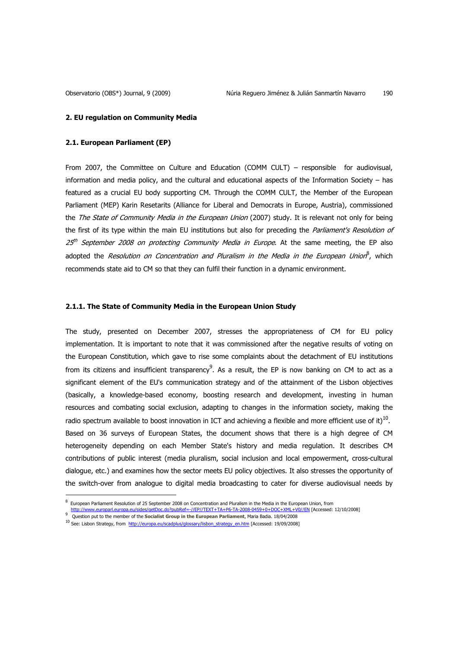#### **2. EU regulation on Community Media**

## **2.1. European Parliament (EP)**

From 2007, the Committee on Culture and Education (COMM CULT) – responsible for audiovisual, information and media policy, and the cultural and educational aspects of the Information Society – has featured as a crucial EU body supporting CM. Through the COMM CULT, the Member of the European Parliament (MEP) Karin Resetarits (Alliance for Liberal and Democrats in Europe, Austria), commissioned the The State of Community Media in the European Union (2007) study. It is relevant not only for being the first of its type within the main EU institutions but also for preceding the Parliament's Resolution of 25<sup>th</sup> September 2008 on protecting Community Media in Europe. At the same meeting, the EP also adopted the *Resolution on Concentration and Pluralism in the Media in the European Union*<sup>8</sup>, which recommends state aid to CM so that they can fulfil their function in a dynamic environment.

### **2.1.1. The State of Community Media in the European Union Study**

The study, presented on December 2007, stresses the appropriateness of CM for EU policy implementation. It is important to note that it was commissioned after the negative results of voting on the European Constitution, which gave to rise some complaints about the detachment of EU institutions from its citizens and insufficient transparency $^{9}$ . As a result, the EP is now banking on CM to act as a significant element of the EU's communication strategy and of the attainment of the Lisbon objectives (basically, a knowledge-based economy, boosting research and development, investing in human resources and combating social exclusion, adapting to changes in the information society, making the radio spectrum available to boost innovation in ICT and achieving a flexible and more efficient use of it) $^{10}$ . Based on 36 surveys of European States, the document shows that there is a high degree of CM heterogeneity depending on each Member State's history and media regulation. It describes CM contributions of public interest (media pluralism, social inclusion and local empowerment, cross-cultural dialogue, etc.) and examines how the sector meets EU policy objectives. It also stresses the opportunity of the switch-over from analogue to digital media broadcasting to cater for diverse audiovisual needs by

<sup>8</sup> European Parliament Resolution of 25 September 2008 on Concentration and Pluralism in the Media in the European Union, from

http://www.europarl.europa.eu/sides/getDoc.do?pubRef=-//EP//TEXT+TA+P6-TA-2008-0459+0+DOC+XML+V0//EN [Accessed: 12/10/2008]

<sup>9</sup> Question put to the member of the **Socialist Group in the European Parliament**, Maria Badia. 18/04/2008

<sup>&</sup>lt;sup>10</sup> See: Lisbon Strategy, from http://europa.eu/scadplus/glossary/lisbon\_strategy\_en.htm [Accessed: 19/09/2008]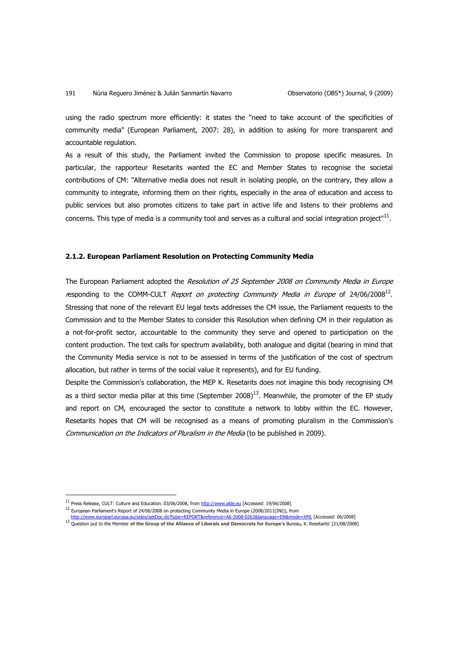#### 191 Núria Reguero Jiménez & Julián Sanmartín Navarro Observatorio (OBS\*) Journal, 9 (2009)

using the radio spectrum more efficiently: it states the "need to take account of the specificities of community media" (European Parliament, 2007: 28), in addition to asking for more transparent and accountable regulation.

As a result of this study, the Parliament invited the Commission to propose specific measures. In particular, the rapporteur Resetarits wanted the EC and Member States to recognise the societal contributions of CM: "Alternative media does not result in isolating people, on the contrary, they allow a community to integrate, informing them on their rights, especially in the area of education and access to public services but also promotes citizens to take part in active life and listens to their problems and concerns. This type of media is a community tool and serves as a cultural and social integration project" $^{11}$ .

## **2.1.2. European Parliament Resolution on Protecting Community Media**

The European Parliament adopted the Resolution of 25 September 2008 on Community Media in Europe responding to the COMM-CULT Report on protecting Community Media in Europe of 24/06/2008<sup>12</sup>. Stressing that none of the relevant EU legal texts addresses the CM issue, the Parliament requests to the Commission and to the Member States to consider this Resolution when defining CM in their regulation as a not-for-profit sector, accountable to the community they serve and opened to participation on the content production. The text calls for spectrum availability, both analogue and digital (bearing in mind that the Community Media service is not to be assessed in terms of the justification of the cost of spectrum allocation, but rather in terms of the social value it represents), and for EU funding.

Despite the Commission's collaboration, the MEP K. Resetarits does not imagine this body recognising CM as a third sector media pillar at this time (September 2008)<sup>13</sup>. Meanwhile, the promoter of the EP study and report on CM, encouraged the sector to constitute a network to lobby within the EC. However, Resetarits hopes that CM will be recognised as a means of promoting pluralism in the Commission's Communication on the Indicators of Pluralism in the Media (to be published in 2009).

<sup>&</sup>lt;sup>11</sup> Press Release, CULT: Culture and Education. 03/06/2008, from http://www.alde.eu [Accessed: 19/06/2008]

<sup>&</sup>lt;sup>12</sup> European Parliament's Report of 24/06/2008 on protecting Community Media in Europe (2008/2011(INI)), from<br>http://www.europarl.europa.eu/sides/getDoc.do?type=REPORT&reference=A6-2008-0263&language=EN&mode=XML [Accessed http://www.europarl.europa.eu/sides/getDoc.do?type=REPORT&reference=A6-2008-0263&language=EN

<sup>13</sup> Question put to the Member **of the Group of the Alliance of Liberals and Democrats for Europe's** Bureau**,** K. Resetarits' [21/08/2008]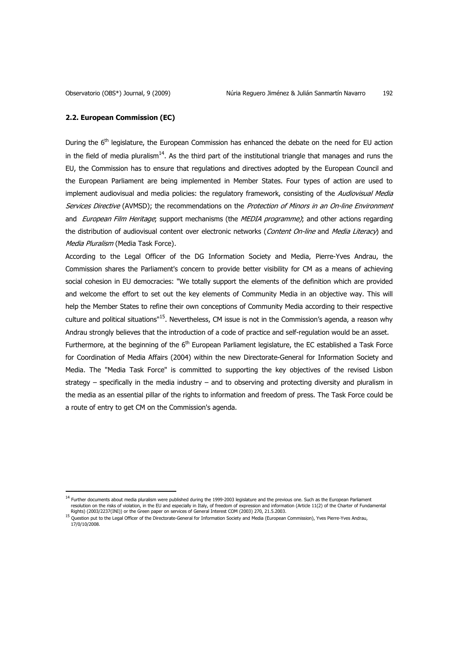#### **2.2. European Commission (EC)**

 $\overline{a}$ 

During the 6<sup>th</sup> legislature, the European Commission has enhanced the debate on the need for EU action in the field of media pluralism $14$ . As the third part of the institutional triangle that manages and runs the EU, the Commission has to ensure that regulations and directives adopted by the European Council and the European Parliament are being implemented in Member States. Four types of action are used to implement audiovisual and media policies: the regulatory framework, consisting of the Audiovisual Media Services Directive (AVMSD); the recommendations on the Protection of Minors in an On-line Environment and European Film Heritage; support mechanisms (the MEDIA programme); and other actions regarding the distribution of audiovisual content over electronic networks (Content On-line and Media Literacy) and Media Pluralism (Media Task Force).

According to the Legal Officer of the DG Information Society and Media, Pierre-Yves Andrau, the Commission shares the Parliament's concern to provide better visibility for CM as a means of achieving social cohesion in EU democracies: "We totally support the elements of the definition which are provided and welcome the effort to set out the key elements of Community Media in an objective way. This will help the Member States to refine their own conceptions of Community Media according to their respective culture and political situations<sup>"15</sup>. Nevertheless, CM issue is not in the Commission's agenda, a reason why Andrau strongly believes that the introduction of a code of practice and self-regulation would be an asset.

Furthermore, at the beginning of the 6<sup>th</sup> European Parliament legislature, the EC established a Task Force for Coordination of Media Affairs (2004) within the new Directorate-General for Information Society and Media. The "Media Task Force" is committed to supporting the key objectives of the revised Lisbon strategy – specifically in the media industry – and to observing and protecting diversity and pluralism in the media as an essential pillar of the rights to information and freedom of press. The Task Force could be a route of entry to get CM on the Commission's agenda.

<sup>&</sup>lt;sup>14</sup> Further documents about media pluralism were published during the 1999-2003 legislature and the previous one. Such as the European Parliament resolution on the risks of violation, in the EU and especially in Italy, of freedom of expression and information (Article 11(2) of the Charter of Fundamental<br>Rights) (2003/2237(INI)) or the Green paper on services of Gene

<sup>15</sup> Question put to the Legal Officer of the Directorate-General for Information Society and Media (European Commission), Yves Pierre-Yves Andrau, 17/0/10/2008.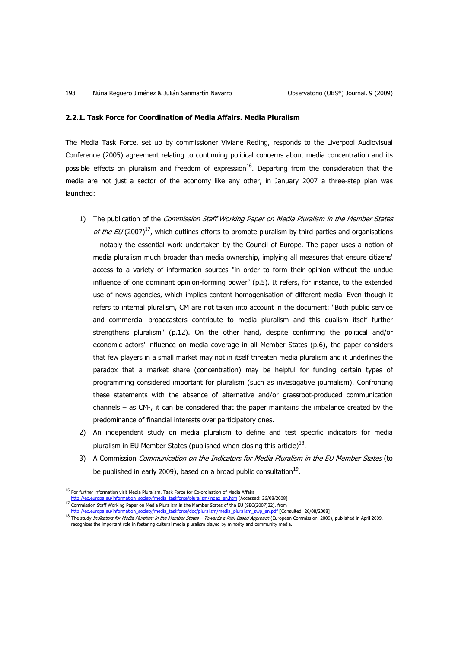#### **2.2.1. Task Force for Coordination of Media Affairs. Media Pluralism**

The Media Task Force, set up by commissioner Viviane Reding, responds to the Liverpool Audiovisual Conference (2005) agreement relating to continuing political concerns about media concentration and its possible effects on pluralism and freedom of expression $^{16}$ . Departing from the consideration that the media are not just a sector of the economy like any other, in January 2007 a three-step plan was launched:

- 1) The publication of the Commission Staff Working Paper on Media Pluralism in the Member States of the EU (2007)<sup>17</sup>, which outlines efforts to promote pluralism by third parties and organisations – notably the essential work undertaken by the Council of Europe. The paper uses a notion of media pluralism much broader than media ownership, implying all measures that ensure citizens' access to a variety of information sources "in order to form their opinion without the undue influence of one dominant opinion-forming power" (p.5). It refers, for instance, to the extended use of news agencies, which implies content homogenisation of different media. Even though it refers to internal pluralism, CM are not taken into account in the document: "Both public service and commercial broadcasters contribute to media pluralism and this dualism itself further strengthens pluralism" (p.12). On the other hand, despite confirming the political and/or economic actors' influence on media coverage in all Member States (p.6), the paper considers that few players in a small market may not in itself threaten media pluralism and it underlines the paradox that a market share (concentration) may be helpful for funding certain types of programming considered important for pluralism (such as investigative journalism). Confronting these statements with the absence of alternative and/or grassroot-produced communication channels – as CM-, it can be considered that the paper maintains the imbalance created by the predominance of financial interests over participatory ones.
- 2) An independent study on media pluralism to define and test specific indicators for media pluralism in EU Member States (published when closing this article) $^{18}$ .
- 3) A Commission *Communication on the Indicators for Media Pluralism in the EU Member States* (to be published in early 2009), based on a broad public consultation $^{19}$ .

l

 $^{16}$  For further information visit Media Pluralism. Task Force for Co-ordination of Media Affairs

europa.eu/information\_society/media\_taskforce/pluralism/index\_en.htm [Accessed: 26/08/2008]

<sup>17</sup> Commission Staff Working Paper on Media Pluralism in the Member States of the EU (SEC(2007)32), from<br>http://ec.europa.eu/information\_society/media\_taskforce/doc/pluralism/media\_pluralism\_swp\_en.pdf [Consulted: 26/08/200 http://ec.europa.eu/information\_society/media\_taskforce/doc/pluralism/media\_plura

<sup>18</sup> The study *Indicators for Media Pluralism in the Member States – Towards a Risk-Based Approach* (European Commission, 2009), published in April 2009, recognizes the important role in fostering cultural media pluralism played by minority and community media.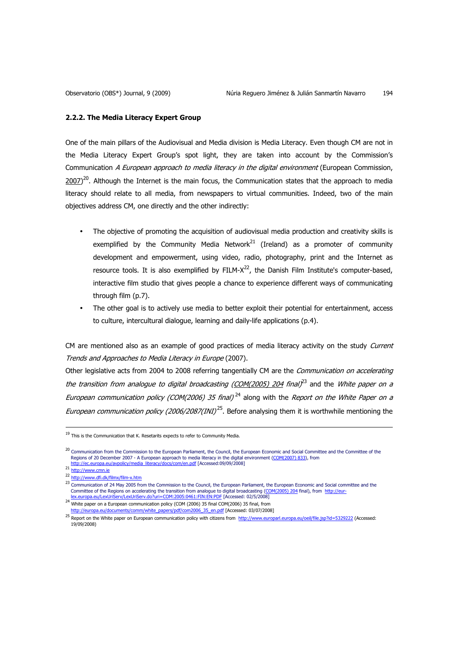#### **2.2.2. The Media Literacy Expert Group**

One of the main pillars of the Audiovisual and Media division is Media Literacy. Even though CM are not in the Media Literacy Expert Group's spot light, they are taken into account by the Commission's Communication A European approach to media literacy in the digital environment (European Commission,  $2007$ <sup>20</sup>. Although the Internet is the main focus, the Communication states that the approach to media literacy should relate to all media, from newspapers to virtual communities. Indeed, two of the main objectives address CM, one directly and the other indirectly:

- The objective of promoting the acquisition of audiovisual media production and creativity skills is exemplified by the Community Media Network<sup>21</sup> (Ireland) as a promoter of community development and empowerment, using video, radio, photography, print and the Internet as resource tools. It is also exemplified by FILM- $X^{22}$ , the Danish Film Institute's computer-based, interactive film studio that gives people a chance to experience different ways of communicating through film (p.7).
- The other goal is to actively use media to better exploit their potential for entertainment, access to culture, intercultural dialogue, learning and daily-life applications (p.4).

CM are mentioned also as an example of good practices of media literacy activity on the study Current Trends and Approaches to Media Literacy in Europe (2007).

Other legislative acts from 2004 to 2008 referring tangentially CM are the Communication on accelerating the transition from analogue to digital broadcasting <u>(COM(2005) 204</u> final)<sup>23</sup> and the White paper on a European communication policy (COM(2006) 35 final)<sup>24</sup> along with the Report on the White Paper on a European communication policy (2006/2087(INI)<sup>25</sup>. Before analysing them it is worthwhile mentioning the

 $\overline{a}$ 

24 White paper on a European communication policy (COM (2006) 35 final COM(2006) 35 final, from http://europa.eu/documents/comm/white\_papers/pdf/com2006\_35\_en.pdf [Accessed: 03/07/2008]

 $19$  This is the Communication that K. Resetarits expects to refer to Community Media.

<sup>&</sup>lt;sup>20</sup> Communication from the Commission to the European Parliament, the Council, the European Economic and Social Committee and the Committee of the Regions of 20 December 2007 - A European approach to media literacy in the digital environment (<u>COM(2007) 833</u>), from<br><u>http://ec.europa.eu/avpolicy/media\_literacy/docs/com/en.pdf</u> [Accessed:09/09/2008]

<sup>21</sup> http://www.cmn.ie

<sup>22</sup> http://www.dfi.dk/filmx/film-x.htm

<sup>23</sup> Communication of 24 May 2005 from the Commission to the Council, the European Parliament, the European Economic and Social committee and the Committee of the Regions on accelerating the transition from analogue to digital broadcasting (<u>COM(2005) 204</u> final), from <u>http://eur-</u><br>l<u>ex.europa.eu/LexUriServ/LexUriServ.do?ur</u>i=COM:2005:0461:FIN:EN:PDF [Accessed: 02/

<sup>25</sup> Report on the White paper on European communication policy with citizens from http://www.europarl.europa.eu/oeil/file.jsp?id=5329222 (Accessed: 19/09/2008)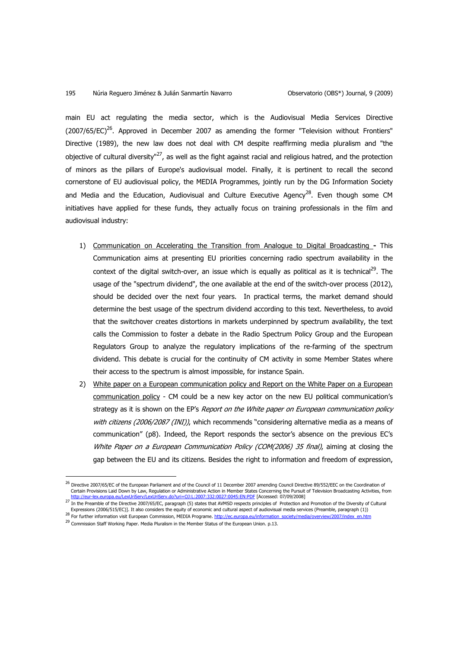main EU act regulating the media sector, which is the Audiovisual Media Services Directive  $(2007/65/EC)^{26}$ . Approved in December 2007 as amending the former "Television without Frontiers" Directive (1989), the new law does not deal with CM despite reaffirming media pluralism and "the obiective of cultural diversity"<sup>27</sup>, as well as the fight against racial and religious hatred, and the protection of minors as the pillars of Europe's audiovisual model. Finally, it is pertinent to recall the second cornerstone of EU audiovisual policy, the MEDIA Programmes, jointly run by the DG Information Society and Media and the Education, Audiovisual and Culture Executive Agency<sup>28</sup>. Even though some CM initiatives have applied for these funds, they actually focus on training professionals in the film and audiovisual industry:

- 1) Communication on Accelerating the Transition from Analogue to Digital Broadcasting This Communication aims at presenting EU priorities concerning radio spectrum availability in the context of the digital switch-over, an issue which is equally as political as it is technical<sup>29</sup>. The usage of the "spectrum dividend", the one available at the end of the switch-over process (2012), should be decided over the next four years. In practical terms, the market demand should determine the best usage of the spectrum dividend according to this text. Nevertheless, to avoid that the switchover creates distortions in markets underpinned by spectrum availability, the text calls the Commission to foster a debate in the Radio Spectrum Policy Group and the European Regulators Group to analyze the regulatory implications of the re-farming of the spectrum dividend. This debate is crucial for the continuity of CM activity in some Member States where their access to the spectrum is almost impossible, for instance Spain.
- 2) White paper on a European communication policy and Report on the White Paper on a European communication policy - CM could be a new key actor on the new EU political communication's strategy as it is shown on the EP's Report on the White paper on European communication policy with citizens (2006/2087 (INI)), which recommends "considering alternative media as a means of communication" (p8). Indeed, the Report responds the sector's absence on the previous EC's White Paper on a European Communication Policy (COM(2006) 35 final), aiming at closing the gap between the EU and its citizens. Besides the right to information and freedom of expression,

l

<sup>&</sup>lt;sup>26</sup> Directive 2007/65/EC of the European Parliament and of the Council of 11 December 2007 amending Council Directive 89/552/EEC on the Coordination of Certain Provisions Laid Down by Law, Regulation or Administrative Action in Member States Concerning the Pursuit of Television Broadcasting Activities, from http://eur-lex.europa.eu/LexUriServ/LexUriServ.do?uri=OJ:L:2007:332:0027:0045:EN:PDF [Accessed: 07/09/2008]

<sup>27</sup> In the Preamble of the Directive 2007/65/EC, paragraph (5) states that AVMSD respects principles of Protection and Promotion of the Diversity of Cultural Expressions (2006/515/EC)]. It also considers the equity of economic and cultural aspect of audiovisual media services (Preamble, paragraph (1))

<sup>28</sup> For further information visit European Commission, MEDIA Programe. http://ec.europa.eu/information\_society/media/overview/2007/index\_en.htm

 $^{29}$  Commission Staff Working Paper. Media Pluralism in the Member Status of the European Union. p.13.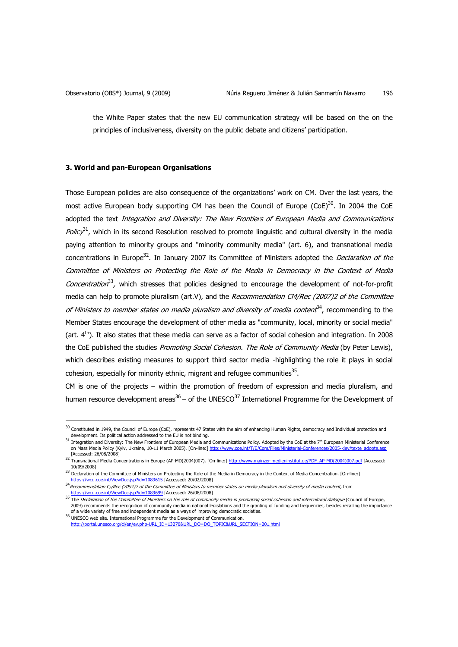l

the White Paper states that the new EU communication strategy will be based on the on the principles of inclusiveness, diversity on the public debate and citizens' participation.

# **3. World and pan-European Organisations**

Those European policies are also consequence of the organizations' work on CM. Over the last years, the most active European body supporting CM has been the Council of Europe (CoE)<sup>30</sup>. In 2004 the CoE adopted the text Integration and Diversity: The New Frontiers of European Media and Communications Policy<sup>31</sup>, which in its second Resolution resolved to promote linguistic and cultural diversity in the media paying attention to minority groups and "minority community media" (art. 6), and transnational media concentrations in Europe<sup>32</sup>. In January 2007 its Committee of Ministers adopted the *Declaration of the* Committee of Ministers on Protecting the Role of the Media in Democracy in the Context of Media Concentration<sup>33</sup>, which stresses that policies designed to encourage the development of not-for-profit media can help to promote pluralism (art.V), and the Recommendation CM/Rec (2007)2 of the Committee of Ministers to member states on media pluralism and diversity of media content<sup>34</sup>, recommending to the Member States encourage the development of other media as "community, local, minority or social media" (art.  $4<sup>th</sup>$ ). It also states that these media can serve as a factor of social cohesion and integration. In 2008 the CoE published the studies Promoting Social Cohesion. The Role of Community Media (by Peter Lewis), which describes existing measures to support third sector media -highlighting the role it plays in social cohesion, especially for minority ethnic, migrant and refugee communities $^{35}$ .

CM is one of the projects – within the promotion of freedom of expression and media pluralism, and human resource development areas<sup>36</sup> – of the UNESCO<sup>37</sup> International Programme for the Development of

 $^{30}$  Constituted in 1949, the Council of Europe (CoE), represents 47 States with the aim of enhancing Human Rights, democracy and Individual protection and development. Its political action addressed to the EU is not binding.

<sup>31</sup> Integration and Diversity: The New Frontiers of European Media and Communications Policy. Adopted by the CoE at the 7<sup>th</sup> European Ministerial Conference on Mass Media Policy (Kyiv, Ukraine, 10-11 March 2005). [On-line:] http://www.coe.int/T/E/Com/Files/Ministerial-Conferences/20 [Accessed: 26/08/2008]<br><sup>32</sup> Transnational Media Concentrations in Europe (AP-MD(2004)007). [On-line:] <u>http://www.mainzer-medieninstitut.de/PDF\_AP-MD(2004)007.pdf</u> [Accessed:

<sup>10/09/2008]</sup> 

<sup>33</sup> Declaration of the Committee of Ministers on Protecting the Role of the Media in Democracy in the Context of Media Concentration. [On-line:] https://wcd.coe.int/ViewDoc.jsp?id=1089615 [Accessed: 20/02/2008]

<sup>34</sup> Recommendation C;/Rec (2007)2 of the Committee of Ministers to member states on media pluralism and diversity of media content, from https://wcd.coe.int/ViewDoc.jsp?id=1089699 [Accessed: 26/08/2008]

<sup>&</sup>lt;sup>35</sup> The Declaration of the Committee of Ministers on the role of community media in promoting social cohesion and intercultural dialogue (Council of Europe, 2009) recommends the recognition of community media in national legislations and the granting of funding and frequencies, besides recalling the importance<br>of a wide variety of free and independent media as a ways of improv

 $36$  UNESCO web site. International Programme for the Development of Communication. http://portal.unesco.org/ci/en/ev.php-URL\_ID=13270&URL\_DO=DO\_TOPIC&URL\_SECTION=201.html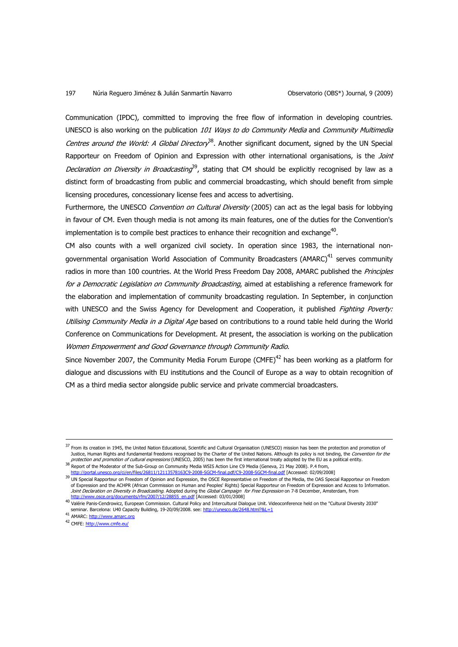#### 197 Núria Reguero Jiménez & Julián Sanmartín Navarro **Cauca Conservatorio (OBS\*)** Journal, 9 (2009)

Communication (IPDC), committed to improving the free flow of information in developing countries. UNESCO is also working on the publication 101 Ways to do Community Media and Community Multimedia Centres around the World: A Global Directory<sup>38</sup>. Another significant document, signed by the UN Special Rapporteur on Freedom of Opinion and Expression with other international organisations, is the *Joint* Declaration on Diversity in Broadcasting<sup>39</sup>, stating that CM should be explicitly recognised by law as a distinct form of broadcasting from public and commercial broadcasting, which should benefit from simple licensing procedures, concessionary license fees and access to advertising.

Furthermore, the UNESCO Convention on Cultural Diversity (2005) can act as the legal basis for lobbying in favour of CM. Even though media is not among its main features, one of the duties for the Convention's implementation is to compile best practices to enhance their recognition and exchange<sup>40</sup>.

CM also counts with a well organized civil society. In operation since 1983, the international nongovernmental organisation World Association of Community Broadcasters (AMARC)<sup>41</sup> serves community radios in more than 100 countries. At the World Press Freedom Day 2008, AMARC published the *Principles* for a Democratic Legislation on Community Broadcasting, aimed at establishing a reference framework for the elaboration and implementation of community broadcasting regulation. In September, in conjunction with UNESCO and the Swiss Agency for Development and Cooperation, it published Fighting Poverty: Utilising Community Media in a Digital Age based on contributions to a round table held during the World Conference on Communications for Development. At present, the association is working on the publication Women Empowerment and Good Governance through Community Radio.

Since November 2007, the Community Media Forum Europe (CMFE) $^{42}$  has been working as a platform for dialogue and discussions with EU institutions and the Council of Europe as a way to obtain recognition of CM as a third media sector alongside public service and private commercial broadcasters.

<sup>&</sup>lt;sup>37</sup> From its creation in 1945, the United Nation Educational, Scientific and Cultural Organisation (UNESCO) mission has been the protection and promotion of Justice, Human Rights and fundamental freedoms recognised by the Charter of the United Nations. Although its policy is not binding, the *Convention for the*<br>*protection and promotion of cultural expressions* (UNESCO, 2005)

<sup>38</sup> Report of the Moderator of the Sub-Group on Community Media WSIS Action Line C9 Media (Geneva, 21 May 2008). P.4 from,

http://portal.unesco.org/ci/en/files/26811/12113578163C9-2008-SGCM-final.pdf/C9-2008-SGCM-final.pdf [Accessed: 02/09/2008]

<sup>&</sup>lt;sup>39</sup> UN Special Rapporteur on Freedom of Opinion and Expression, the OSCE Representative on Freedom of the Media, the OAS Special Rapporteur on Freedom of Expression and the ACHPR (African Commission on Human and Peoples' Rights) Special Rapporteur on Freedom of Expression and Access to Information. *Joint Declaration on Diversity in Broadcasting.* Adopted during the *Global Campaign for Free Expression* on 7-8 December, Amsterdam, from<br><u>http://www.osce.org/documents/rfm/2007/12/28855\_en.pdf</u> [Accessed: 03/01/2008]

<sup>40</sup> Valérie Panis-Cendrowicz, European Commission. Cultural Policy and Intercultural Dialogue Unit. Videoconference held on the "Cultural Diversity 2030" seminar. Barcelona: U40 Capacity Building, 19-20/09/2008. see: http://unesco.de/2648.html?&L=1

<sup>41</sup> AMARC: http://www.amarc.org

<sup>42</sup> CMFE: http://www.cmfe.eu/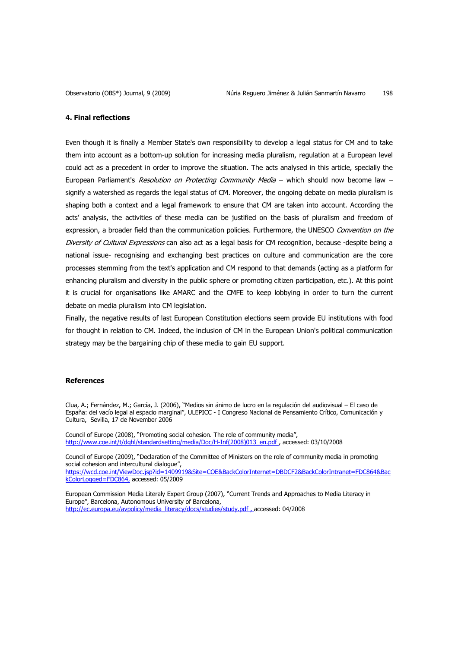## **4. Final reflections**

Even though it is finally a Member State's own responsibility to develop a legal status for CM and to take them into account as a bottom-up solution for increasing media pluralism, regulation at a European level could act as a precedent in order to improve the situation. The acts analysed in this article, specially the European Parliament's Resolution on Protecting Community Media - which should now become law signify a watershed as regards the legal status of CM. Moreover, the ongoing debate on media pluralism is shaping both a context and a legal framework to ensure that CM are taken into account. According the acts' analysis, the activities of these media can be justified on the basis of pluralism and freedom of expression, a broader field than the communication policies. Furthermore, the UNESCO Convention on the Diversity of Cultural Expressions can also act as a legal basis for CM recognition, because -despite being a national issue- recognising and exchanging best practices on culture and communication are the core processes stemming from the text's application and CM respond to that demands (acting as a platform for enhancing pluralism and diversity in the public sphere or promoting citizen participation, etc.). At this point it is crucial for organisations like AMARC and the CMFE to keep lobbying in order to turn the current debate on media pluralism into CM legislation.

Finally, the negative results of last European Constitution elections seem provide EU institutions with food for thought in relation to CM. Indeed, the inclusion of CM in the European Union's political communication strategy may be the bargaining chip of these media to gain EU support.

#### **References**

Clua, A.; Fernández, M.; García, J. (2006), "Medios sin ánimo de lucro en la regulación del audiovisual – El caso de España: del vacío legal al espacio marginal", ULEPICC - I Congreso Nacional de Pensamiento Crítico, Comunicación y Cultura, Sevilla, 17 de November 2006

Council of Europe (2008), "Promoting social cohesion. The role of community media", http://www.coe.int/t/dghl/standardsetting/media/Doc/H-Inf(2008)013\_en.pdf , accessed: 03/10/2008

Council of Europe (2009), "Declaration of the Committee of Ministers on the role of community media in promoting social cohesion and intercultural dialogue",

https://wcd.coe.int/ViewDoc.jsp?id=1409919&Site=COE&BackColorInternet=DBDCF2&BackColorIntranet=FDC864&Bac kColorLogged=FDC864, accessed: 05/2009

European Commission Media Literaly Expert Group (2007), "Current Trends and Approaches to Media Literacy in Europe", Barcelona, Autonomous University of Barcelona, http://ec.europa.eu/avpolicy/media\_literacy/docs/studies/study.pdf , accessed: 04/2008